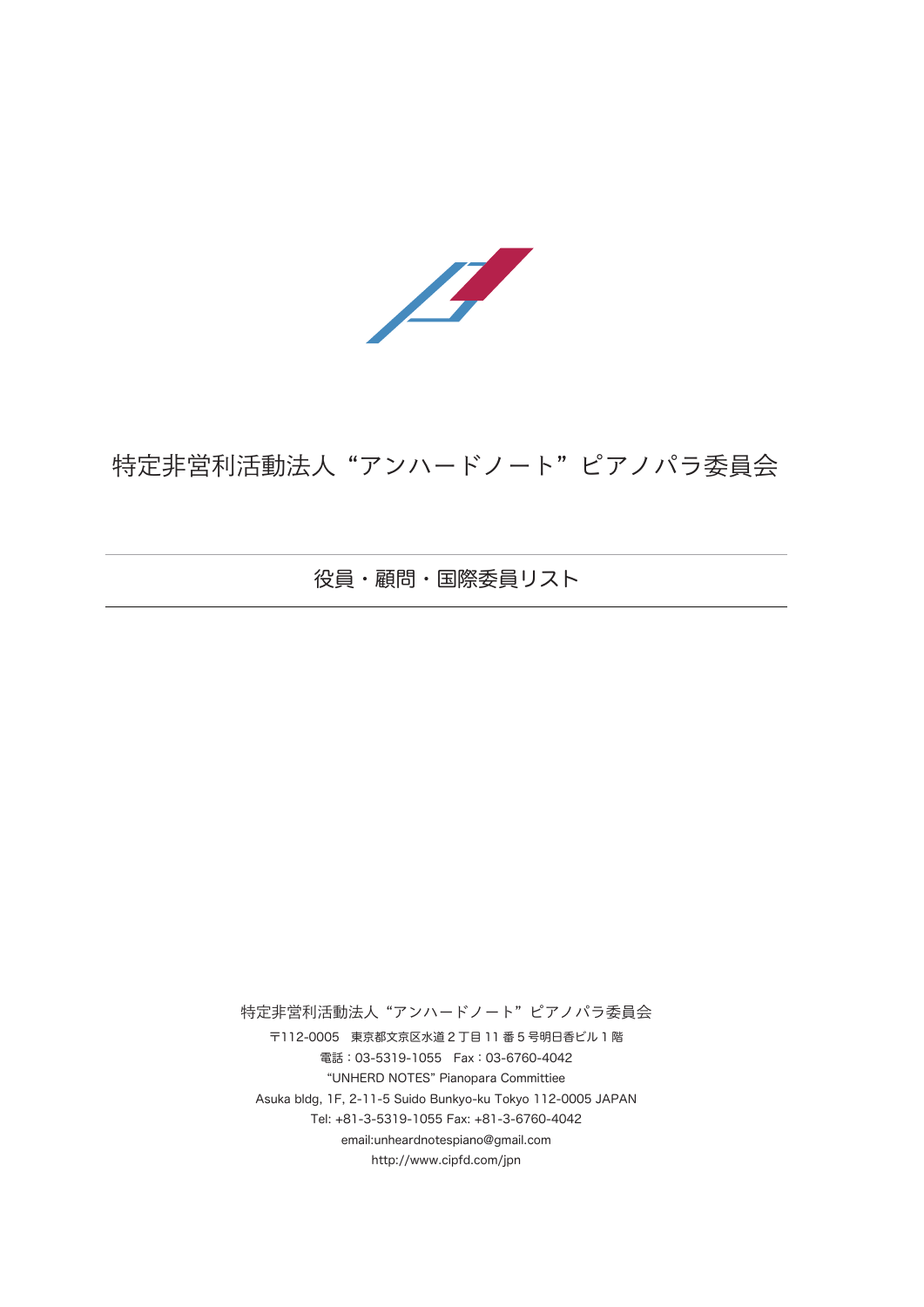

## 特定非営利活動法人 "アンハードノート" ピアノパラ委員会

役員・顧問・国際委員リスト

特定非営利活動法人 "アンハードノート" ピアノパラ委員会

〒112-0005 東京都文京区水道 2 丁目 11 番 5 号明日香ビル 1 階 電話:03-5319-1055 Fax:03-6760-4042 "UNHERD NOTES" Pianopara Committiee Asuka bldg, 1F, 2-11-5 Suido Bunkyo-ku Tokyo 112-0005 JAPAN Tel: +81-3-5319-1055 Fax: +81-3-6760-4042 email:unheardnotespiano@gmail.com http://www.cipfd.com/jpn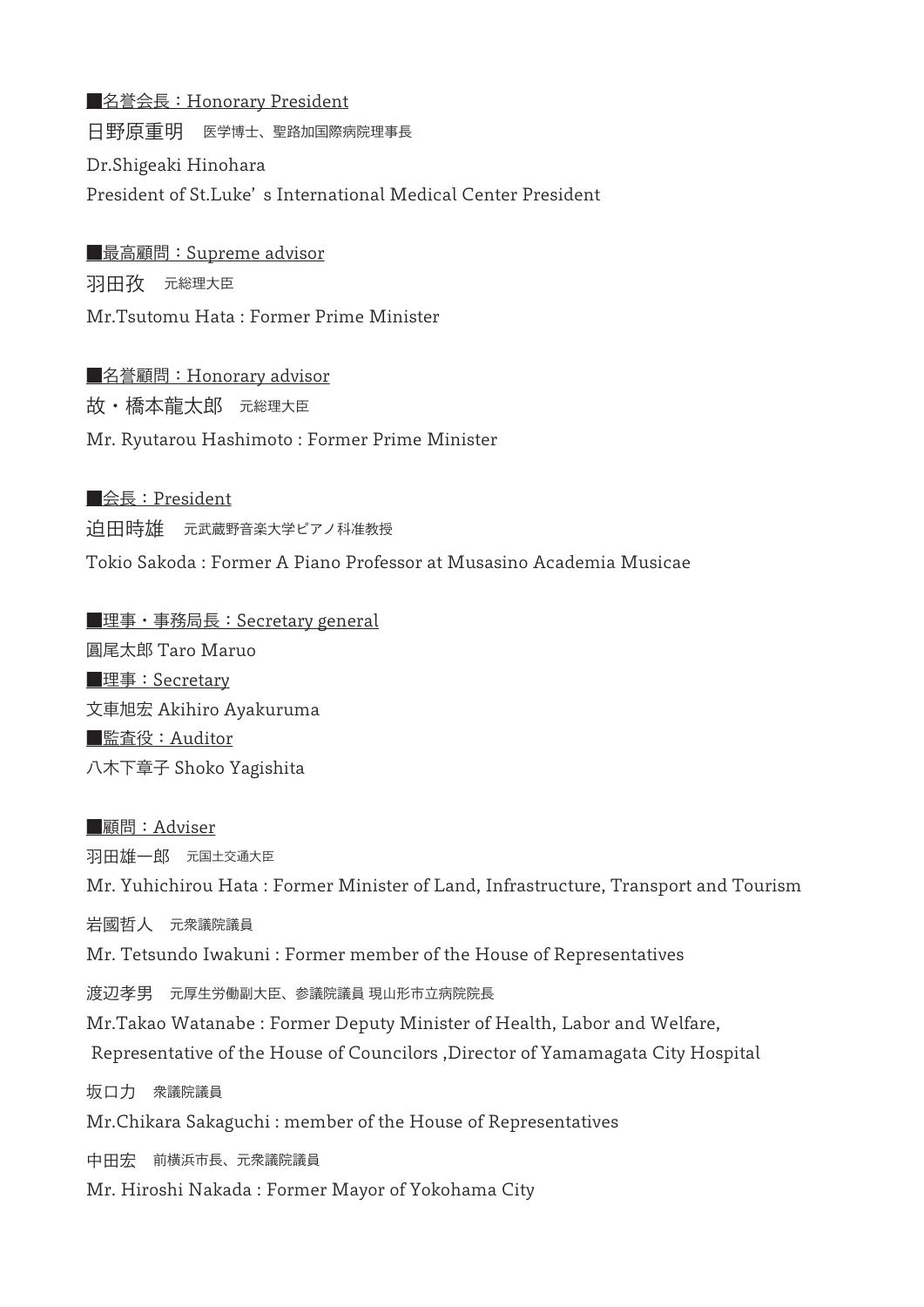■名誉会長: Honorary President 日野原重明 医学博士、聖路加国際病院理事長 Dr.Shigeaki Hinohara President of St.Luke' s International Medical Center President

■最高顧問: Supreme advisor 羽田孜 元総理大臣 Mr.Tsutomu Hata : Former Prime Minister

■名誉顧問: Honorary advisor 故・橋本龍太郎 元総理大臣 Mr. Ryutarou Hashimoto : Former Prime Minister

■会長: President 迫田時雄 元武蔵野音楽大学ピアノ科准教授 Tokio Sakoda : Former A Piano Professor at Musasino Academia Musicae

■理事・事務局長:Secretary general 圓尾太郎 Taro Maruo ■理事:Secretary 文車旭宏 Akihiro Ayakuruma ■監査役:Auditor 八木下章子 Shoko Yagishita

■顧問:Adviser 羽田雄一郎 元国土交通大臣 Mr. Yuhichirou Hata : Former Minister of Land, Infrastructure, Transport and Tourism 岩國哲人 元衆議院議員 Mr. Tetsundo Iwakuni : Former member of the House of Representatives 渡辺孝男 元厚生労働副大臣、参議院議員 現山形市立病院院長 Mr.Takao Watanabe : Former Deputy Minister of Health, Labor and Welfare, Representative of the House of Councilors ,Director of Yamamagata City Hospital 坂口力 衆議院議員 Mr.Chikara Sakaguchi : member of the House of Representatives 中田宏 前横浜市長、元衆議院議員 Mr. Hiroshi Nakada : Former Mayor of Yokohama City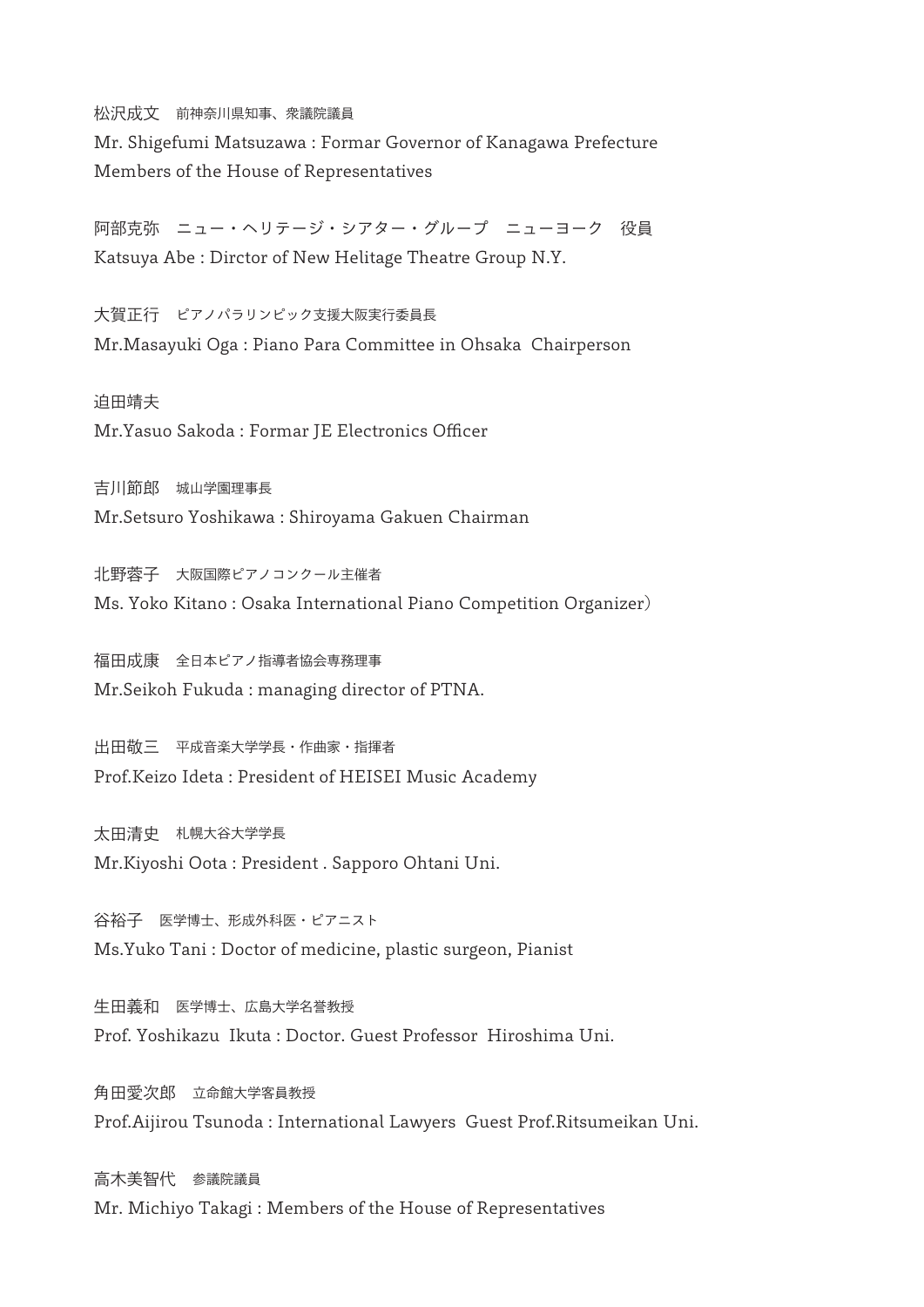松沢成文 前神奈川県知事、衆議院議員 Mr. Shigefumi Matsuzawa : Formar Governor of Kanagawa Prefecture Members of the House of Representatives

阿部克弥 ニュー・ヘリテージ・シアター・グループ ニューヨーク 役員 Katsuya Abe : Dirctor of New Helitage Theatre Group N.Y.

大賀正行 ピアノパラリンピック支援大阪実行委員長 Mr.Masayuki Oga : Piano Para Committee in Ohsaka Chairperson

迫田靖夫

Mr.Yasuo Sakoda : Formar JE Electronics Officer

吉川節郎 城山学園理事長 Mr.Setsuro Yoshikawa : Shiroyama Gakuen Chairman

北野蓉子 大阪国際ピアノコンクール主催者 Ms. Yoko Kitano : Osaka International Piano Competition Organizer)

福田成康 全日本ピアノ指導者協会専務理事 Mr.Seikoh Fukuda : managing director of PTNA.

出田敬三 平成音楽大学学長・作曲家・指揮者 Prof.Keizo Ideta : President of HEISEI Music Academy

太田清史 札幌大谷大学学長 Mr.Kiyoshi Oota : President . Sapporo Ohtani Uni.

谷裕子 医学博士、形成外科医・ピアニスト Ms.Yuko Tani : Doctor of medicine, plastic surgeon, Pianist

生田義和 医学博士、広島大学名誉教授 Prof. Yoshikazu Ikuta : Doctor. Guest Professor Hiroshima Uni.

角田愛次郎 立命館大学客員教授 Prof.Aijirou Tsunoda : International Lawyers Guest Prof.Ritsumeikan Uni.

高木美智代 参議院議員 Mr. Michiyo Takagi : Members of the House of Representatives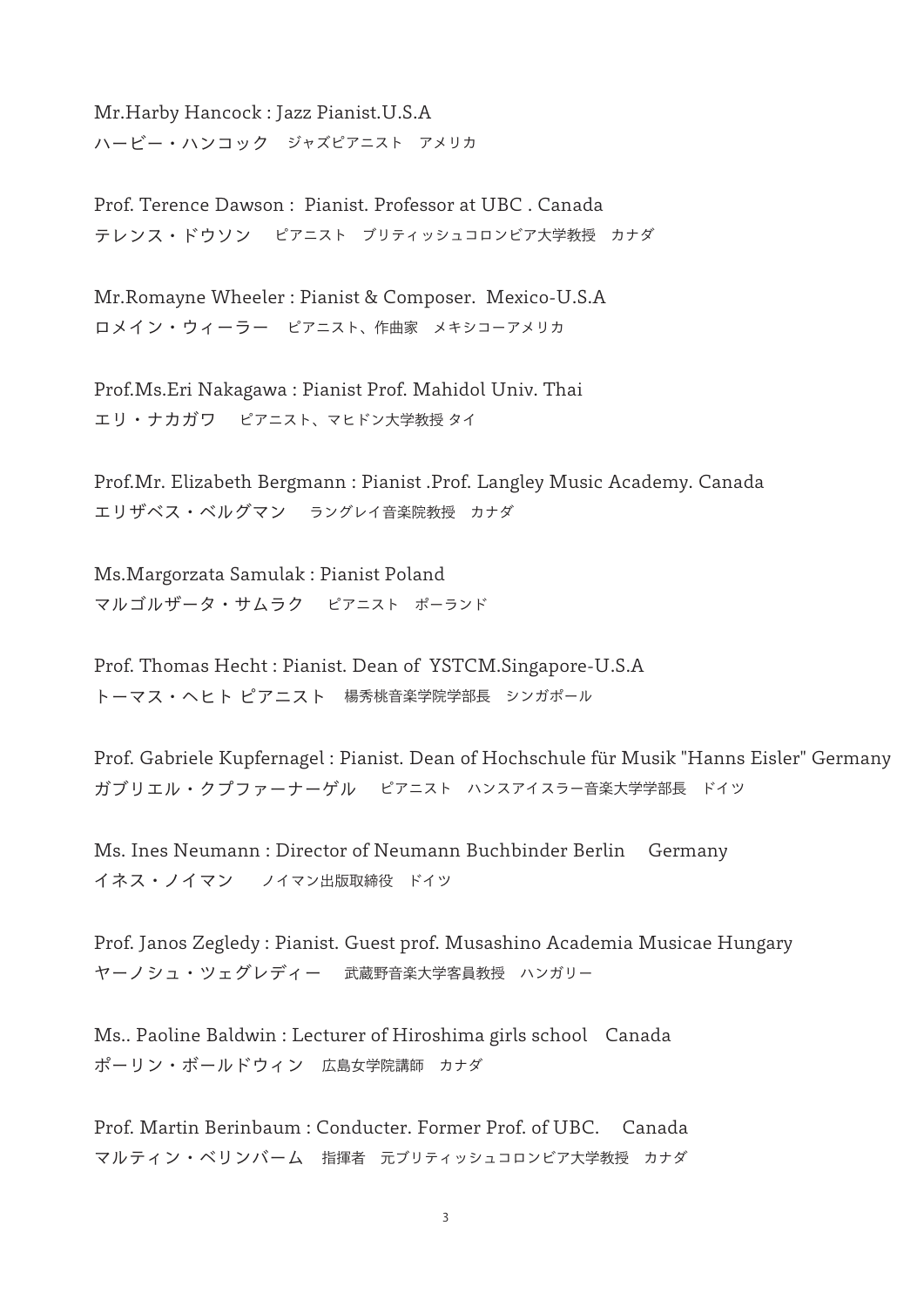Mr.Harby Hancock : Jazz Pianist.U.S.A ハービー・ハンコック ジャズピアニスト アメリカ

Prof. Terence Dawson : Pianist. Professor at UBC . Canada テレンス・ドウソン ピアニスト ブリティッシュコロンビア大学教授 カナダ

Mr.Romayne Wheeler : Pianist & Composer. Mexico-U.S.A ロメイン・ウィーラー ピアニスト、作曲家 メキシコーアメリカ

Prof.Ms.Eri Nakagawa : Pianist Prof. Mahidol Univ. Thai エリ・ナカガワ ピアニスト、マヒドン大学教授 タイ

Prof.Mr. Elizabeth Bergmann : Pianist .Prof. Langley Music Academy. Canada エリザベス・ベルグマン ラングレイ音楽院教授 カナダ

Ms.Margorzata Samulak : Pianist Poland マルゴルザータ・サムラク ピアニスト ポーランド

Prof. Thomas Hecht : Pianist. Dean of YSTCM.Singapore-U.S.A トーマス・ヘヒト ピアニスト 楊秀桃音楽学院学部長 シンガポール

Prof. Gabriele Kupfernagel : Pianist. Dean of Hochschule für Musik "Hanns Eisler" Germany ガブリエル・クプファーナーゲル ピアニスト ハンスアイスラー音楽大学学部長 ドイツ

Ms. Ines Neumann : Director of Neumann Buchbinder Berlin Germany イネス・ノイマン ノイマン出版取締役 ドイツ

Prof. Janos Zegledy : Pianist. Guest prof. Musashino Academia Musicae Hungary ヤーノシュ・ツェグレディー 武蔵野音楽大学客員教授 ハンガリー

Ms.. Paoline Baldwin : Lecturer of Hiroshima girls school Canada ポーリン・ボールドウィン 広島女学院講師 カナダ

Prof. Martin Berinbaum : Conducter. Former Prof. of UBC. Canada マルティン・ベリンバーム 指揮者 元ブリティッシュコロンビア大学教授 カナダ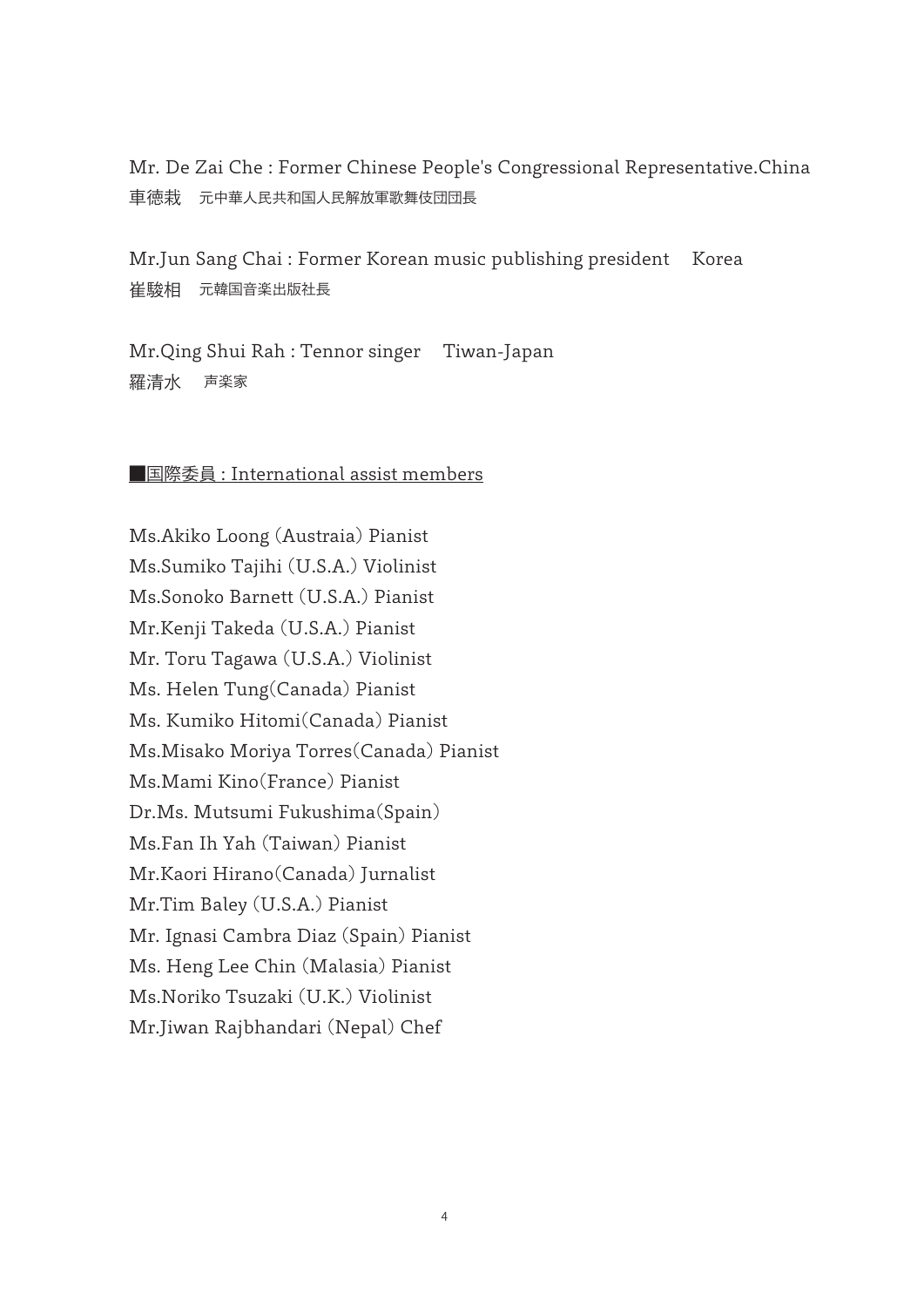Mr. De Zai Che : Former Chinese People's Congressional Representative.China 車徳栽 元中華人民共和国人民解放軍歌舞伎団団長

Mr.Jun Sang Chai : Former Korean music publishing president Korea 崔駿相 元韓国音楽出版社長

Mr.Qing Shui Rah : Tennor singer Tiwan-Japan 羅清水 声楽家

## ■国際委員 : International assist members

Ms.Akiko Loong (Austraia) Pianist Ms.Sumiko Tajihi (U.S.A.) Violinist Ms.Sonoko Barnett (U.S.A.) Pianist Mr.Kenji Takeda (U.S.A.) Pianist Mr. Toru Tagawa (U.S.A.) Violinist Ms. Helen Tung(Canada) Pianist Ms. Kumiko Hitomi(Canada) Pianist Ms.Misako Moriya Torres(Canada) Pianist Ms.Mami Kino(France) Pianist Dr.Ms. Mutsumi Fukushima(Spain) Ms.Fan Ih Yah (Taiwan) Pianist Mr.Kaori Hirano(Canada) Jurnalist Mr.Tim Baley (U.S.A.) Pianist Mr. Ignasi Cambra Diaz (Spain) Pianist Ms. Heng Lee Chin (Malasia) Pianist Ms.Noriko Tsuzaki (U.K.) Violinist Mr.Jiwan Rajbhandari (Nepal) Chef